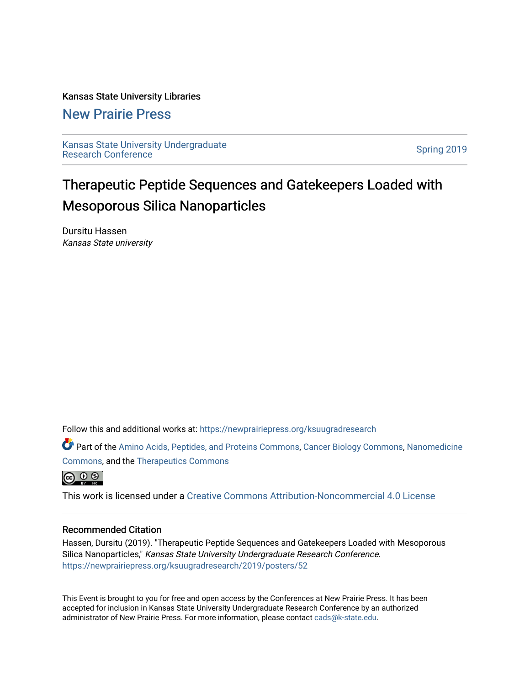### Kansas State University Libraries

### [New Prairie Press](https://newprairiepress.org/)

[Kansas State University Undergraduate](https://newprairiepress.org/ksuugradresearch)  Ransas State University Undergraduate<br>[Research Conference](https://newprairiepress.org/ksuugradresearch)

### Therapeutic Peptide Sequences and Gatekeepers Loaded with Mesoporous Silica Nanoparticles

Dursitu Hassen Kansas State university

Follow this and additional works at: [https://newprairiepress.org/ksuugradresearch](https://newprairiepress.org/ksuugradresearch?utm_source=newprairiepress.org%2Fksuugradresearch%2F2019%2Fposters%2F52&utm_medium=PDF&utm_campaign=PDFCoverPages) 

Part of the [Amino Acids, Peptides, and Proteins Commons](http://network.bepress.com/hgg/discipline/954?utm_source=newprairiepress.org%2Fksuugradresearch%2F2019%2Fposters%2F52&utm_medium=PDF&utm_campaign=PDFCoverPages), [Cancer Biology Commons,](http://network.bepress.com/hgg/discipline/12?utm_source=newprairiepress.org%2Fksuugradresearch%2F2019%2Fposters%2F52&utm_medium=PDF&utm_campaign=PDFCoverPages) [Nanomedicine](http://network.bepress.com/hgg/discipline/1252?utm_source=newprairiepress.org%2Fksuugradresearch%2F2019%2Fposters%2F52&utm_medium=PDF&utm_campaign=PDFCoverPages)  [Commons](http://network.bepress.com/hgg/discipline/1252?utm_source=newprairiepress.org%2Fksuugradresearch%2F2019%2Fposters%2F52&utm_medium=PDF&utm_campaign=PDFCoverPages), and the [Therapeutics Commons](http://network.bepress.com/hgg/discipline/993?utm_source=newprairiepress.org%2Fksuugradresearch%2F2019%2Fposters%2F52&utm_medium=PDF&utm_campaign=PDFCoverPages) 



This work is licensed under a [Creative Commons Attribution-Noncommercial 4.0 License](https://creativecommons.org/licenses/by-nc/4.0/)

### Recommended Citation

Hassen, Dursitu (2019). "Therapeutic Peptide Sequences and Gatekeepers Loaded with Mesoporous Silica Nanoparticles," Kansas State University Undergraduate Research Conference. <https://newprairiepress.org/ksuugradresearch/2019/posters/52>

This Event is brought to you for free and open access by the Conferences at New Prairie Press. It has been accepted for inclusion in Kansas State University Undergraduate Research Conference by an authorized administrator of New Prairie Press. For more information, please contact [cads@k-state.edu](mailto:cads@k-state.edu).